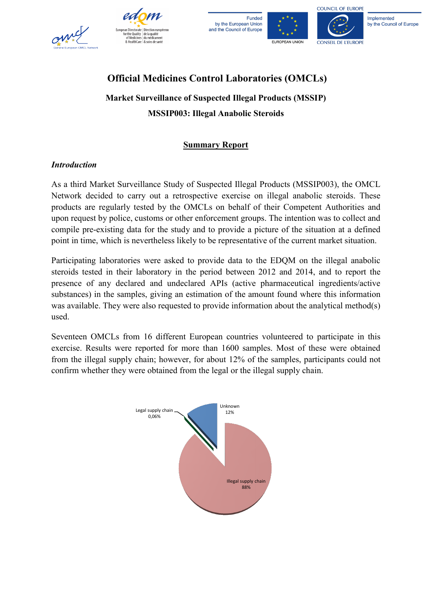







Implemented by the Council of Europe

COUNCIL OF EUROPE

## **Official Medicines Control Laboratories (OMCLs)**

# **Market Surveillance of Suspected Illegal Products (MSSIP) MSSIP003: Illegal Anabolic Steroids**

### **Summary Report**

#### *Introduction*

As a third Market Surveillance Study of Suspected Illegal Products (MSSIP003), the OMCL Network decided to carry out a retrospective exercise on illegal anabolic steroids. These products are regularly tested by the OMCLs on behalf of their Competent Authorities and upon request by police, customs or other enforcement groups. The intention was to collect and compile pre-existing data for the study and to provide a picture of the situation at a defined point in time, which is nevertheless likely to be representative of the current market situation.

Participating laboratories were asked to provide data to the EDQM on the illegal anabolic steroids tested in their laboratory in the period between 2012 and 2014, and to report the presence of any declared and undeclared APIs (active pharmaceutical ingredients/active substances) in the samples, giving an estimation of the amount found where this information was available. They were also requested to provide information about the analytical method(s) used.

Seventeen OMCLs from 16 different European countries volunteered to participate in this exercise. Results were reported for more than 1600 samples. Most of these were obtained from the illegal supply chain; however, for about 12% of the samples, participants could not confirm whether they were obtained from the legal or the illegal supply chain.

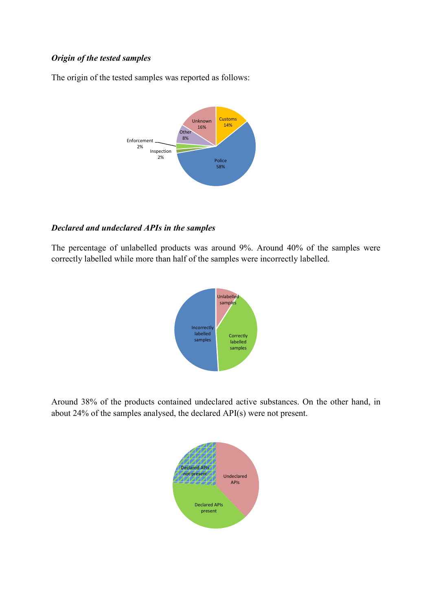#### *Origin of the tested samples*

The origin of the tested samples was reported as follows:



#### *Declared and undeclared APIs in the samples*

The percentage of unlabelled products was around 9%. Around 40% of the samples were correctly labelled while more than half of the samples were incorrectly labelled.



Around 38% of the products contained undeclared active substances. On the other hand, in about 24% of the samples analysed, the declared API(s) were not present.

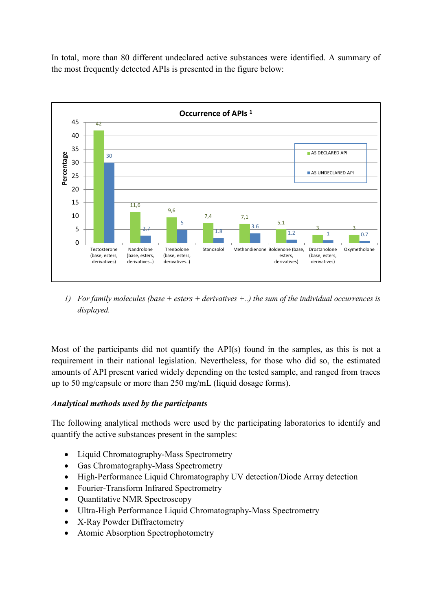In total, more than 80 different undeclared active substances were identified. A summary of the most frequently detected APIs is presented in the figure below:



*1) For family molecules (base + esters + derivatives +..) the sum of the individual occurrences is displayed.*

Most of the participants did not quantify the API(s) found in the samples, as this is not a requirement in their national legislation. Nevertheless, for those who did so, the estimated amounts of API present varied widely depending on the tested sample, and ranged from traces up to 50 mg/capsule or more than 250 mg/mL (liquid dosage forms).

#### *Analytical methods used by the participants*

The following analytical methods were used by the participating laboratories to identify and quantify the active substances present in the samples:

- Liquid Chromatography-Mass Spectrometry
- Gas Chromatography-Mass Spectrometry
- High-Performance Liquid Chromatography UV detection/Diode Array detection
- Fourier-Transform Infrared Spectrometry
- Quantitative NMR Spectroscopy
- Ultra-High Performance Liquid Chromatography-Mass Spectrometry
- X-Ray Powder Diffractometry
- Atomic Absorption Spectrophotometry